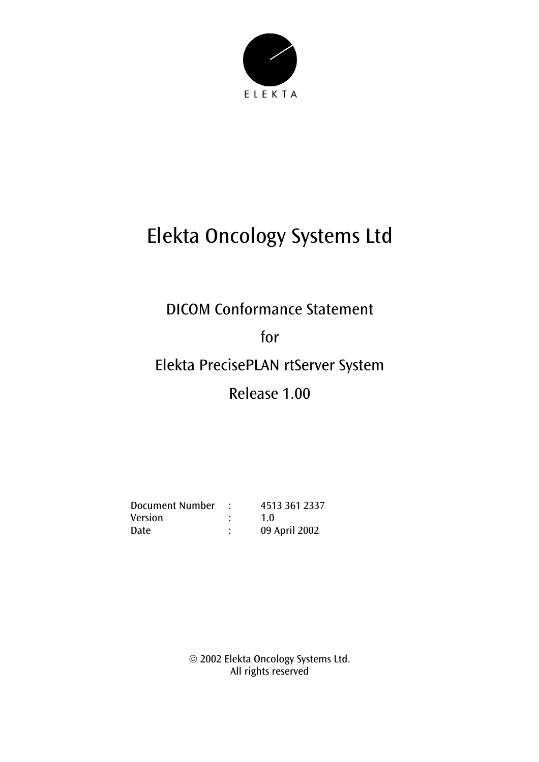

# Elekta Oncology Systems Ltd

DICOM Conformance Statement

for

# Elekta PrecisePLAN rtServer System

Release 1.00

| Document Number |   | 4513 361 2337 |
|-----------------|---|---------------|
| Version         | ٠ | 1.0           |
| Date            | ٠ | 09 April 2002 |

 2002 Elekta Oncology Systems Ltd. All rights reserved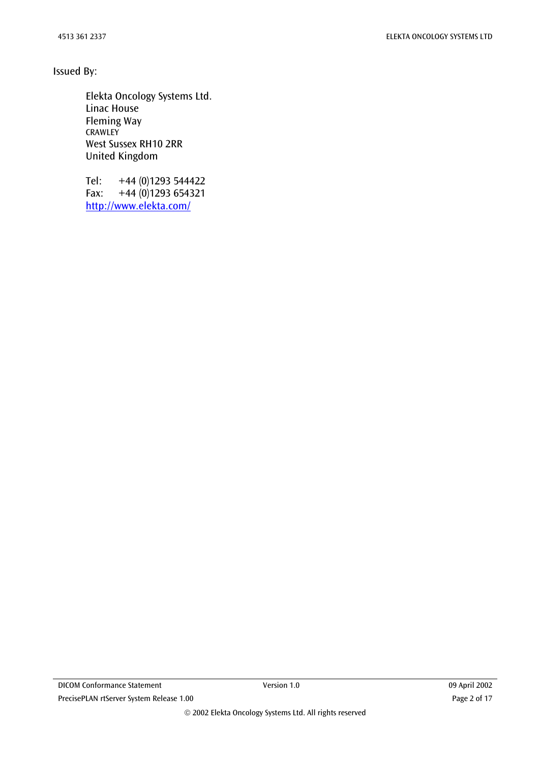Issued By:

Elekta Oncology Systems Ltd. Linac House Fleming Way CRAWLEY West Sussex RH10 2RR United Kingdom

Tel: +44 (0)1293 544422 Fax: +44 (0)1293 654321 <http://www.elekta.com/>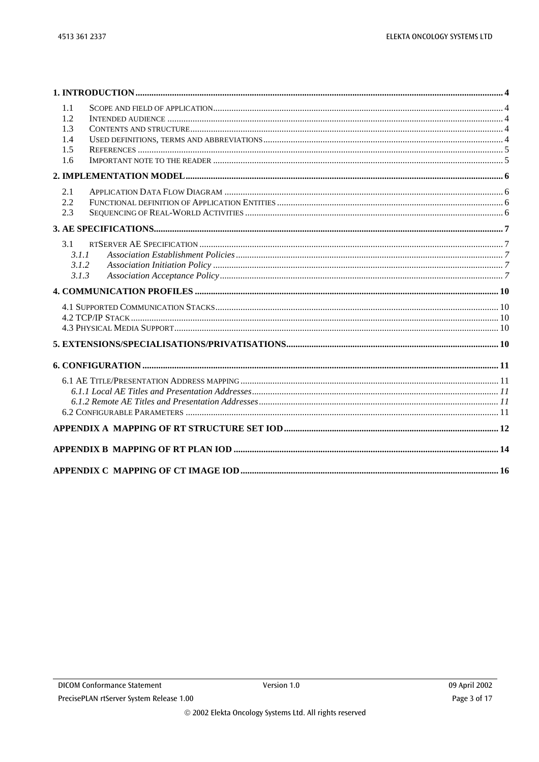| 1.1   |  |
|-------|--|
| 1.2   |  |
| 1.3   |  |
| 1.4   |  |
| 1.5   |  |
| 1.6   |  |
|       |  |
| 2.1   |  |
| 2.2   |  |
| 2.3   |  |
|       |  |
| 3.1   |  |
| 3.1.1 |  |
| 3.1.2 |  |
| 3.1.3 |  |
|       |  |
|       |  |
|       |  |
|       |  |
|       |  |
|       |  |
|       |  |
|       |  |
|       |  |
|       |  |
|       |  |
|       |  |
|       |  |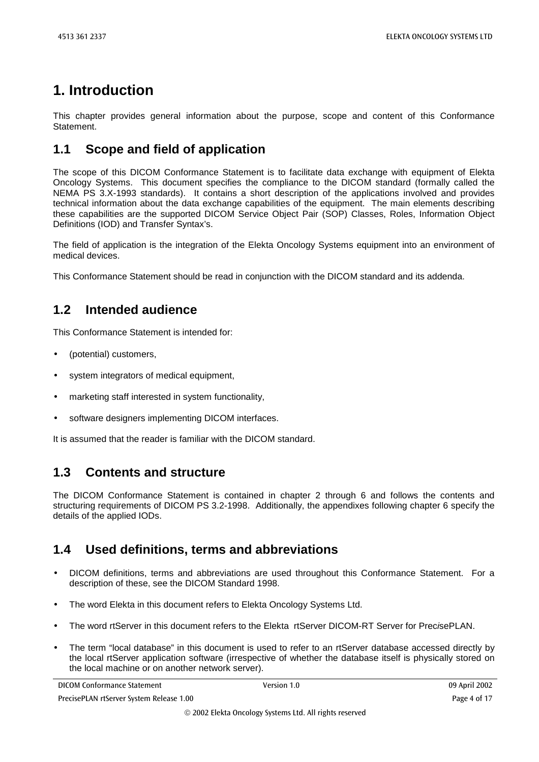# <span id="page-3-0"></span>**1. Introduction**

This chapter provides general information about the purpose, scope and content of this Conformance Statement.

# **1.1 Scope and field of application**

The scope of this DICOM Conformance Statement is to facilitate data exchange with equipment of Elekta Oncology Systems. This document specifies the compliance to the DICOM standard (formally called the NEMA PS 3.X-1993 standards). It contains a short description of the applications involved and provides technical information about the data exchange capabilities of the equipment. The main elements describing these capabilities are the supported DICOM Service Object Pair (SOP) Classes, Roles, Information Object Definitions (IOD) and Transfer Syntax's.

The field of application is the integration of the Elekta Oncology Systems equipment into an environment of medical devices.

This Conformance Statement should be read in conjunction with the DICOM standard and its addenda.

# **1.2 Intended audience**

This Conformance Statement is intended for:

- (potential) customers,
- system integrators of medical equipment,
- marketing staff interested in system functionality,
- software designers implementing DICOM interfaces.

It is assumed that the reader is familiar with the DICOM standard.

## **1.3 Contents and structure**

The DICOM Conformance Statement is contained in chapter 2 through 6 and follows the contents and structuring requirements of DICOM PS 3.2-1998. Additionally, the appendixes following chapter 6 specify the details of the applied IODs.

### **1.4 Used definitions, terms and abbreviations**

- DICOM definitions, terms and abbreviations are used throughout this Conformance Statement. For a description of these, see the DICOM Standard 1998.
- The word Elekta in this document refers to Elekta Oncology Systems Ltd.
- The word rtServer in this document refers to the Elekta rtServer DICOM-RT Server for PrecisePLAN.
- The term "local database" in this document is used to refer to an rtServer database accessed directly by the local rtServer application software (irrespective of whether the database itself is physically stored on the local machine or on another network server).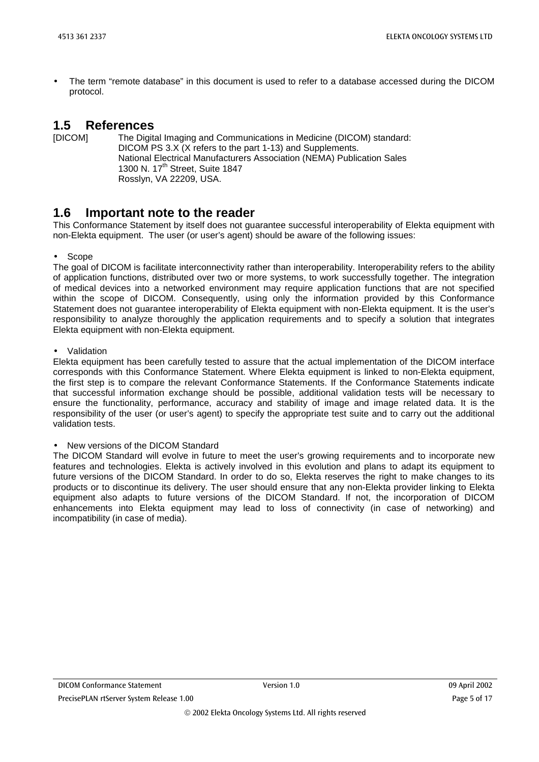<span id="page-4-0"></span>The term "remote database" in this document is used to refer to a database accessed during the DICOM protocol.

### **1.5 References**

[DICOM] The Digital Imaging and Communications in Medicine (DICOM) standard: DICOM PS 3.X (X refers to the part 1-13) and Supplements. National Electrical Manufacturers Association (NEMA) Publication Sales 1300 N. 17<sup>th</sup> Street, Suite 1847 Rosslyn, VA 22209, USA.

### **1.6 Important note to the reader**

This Conformance Statement by itself does not guarantee successful interoperability of Elekta equipment with non-Elekta equipment. The user (or user's agent) should be aware of the following issues:

### • Scope

The goal of DICOM is facilitate interconnectivity rather than interoperability. Interoperability refers to the ability of application functions, distributed over two or more systems, to work successfully together. The integration of medical devices into a networked environment may require application functions that are not specified within the scope of DICOM. Consequently, using only the information provided by this Conformance Statement does not guarantee interoperability of Elekta equipment with non-Elekta equipment. It is the user's responsibility to analyze thoroughly the application requirements and to specify a solution that integrates Elekta equipment with non-Elekta equipment.

### • Validation

Elekta equipment has been carefully tested to assure that the actual implementation of the DICOM interface corresponds with this Conformance Statement. Where Elekta equipment is linked to non-Elekta equipment, the first step is to compare the relevant Conformance Statements. If the Conformance Statements indicate that successful information exchange should be possible, additional validation tests will be necessary to ensure the functionality, performance, accuracy and stability of image and image related data. It is the responsibility of the user (or user's agent) to specify the appropriate test suite and to carry out the additional validation tests.

### • New versions of the DICOM Standard

The DICOM Standard will evolve in future to meet the user's growing requirements and to incorporate new features and technologies. Elekta is actively involved in this evolution and plans to adapt its equipment to future versions of the DICOM Standard. In order to do so, Elekta reserves the right to make changes to its products or to discontinue its delivery. The user should ensure that any non-Elekta provider linking to Elekta equipment also adapts to future versions of the DICOM Standard. If not, the incorporation of DICOM enhancements into Elekta equipment may lead to loss of connectivity (in case of networking) and incompatibility (in case of media).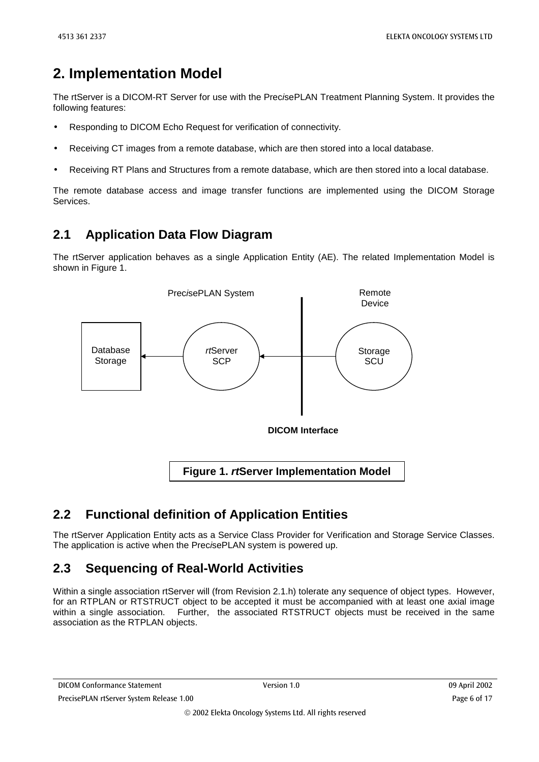# <span id="page-5-0"></span>**2. Implementation Model**

The rtServer is a DICOM-RT Server for use with the PrecisePLAN Treatment Planning System. It provides the following features:

- Responding to DICOM Echo Request for verification of connectivity.
- Receiving CT images from a remote database, which are then stored into a local database.
- Receiving RT Plans and Structures from a remote database, which are then stored into a local database.

The remote database access and image transfer functions are implemented using the DICOM Storage Services.

# **2.1 Application Data Flow Diagram**

The rtServer application behaves as a single Application Entity (AE). The related Implementation Model is shown in Figure 1.



# **2.2 Functional definition of Application Entities**

The rtServer Application Entity acts as a Service Class Provider for Verification and Storage Service Classes. The application is active when the Prec*isePLAN* system is powered up.

## **2.3 Sequencing of Real-World Activities**

Within a single association rtServer will (from Revision 2.1.h) tolerate any sequence of object types. However, for an RTPLAN or RTSTRUCT object to be accepted it must be accompanied with at least one axial image within a single association. Further, the associated RTSTRUCT objects must be received in the same association as the RTPLAN objects.

DICOM Conformance Statement Version 1.0 09 April 2002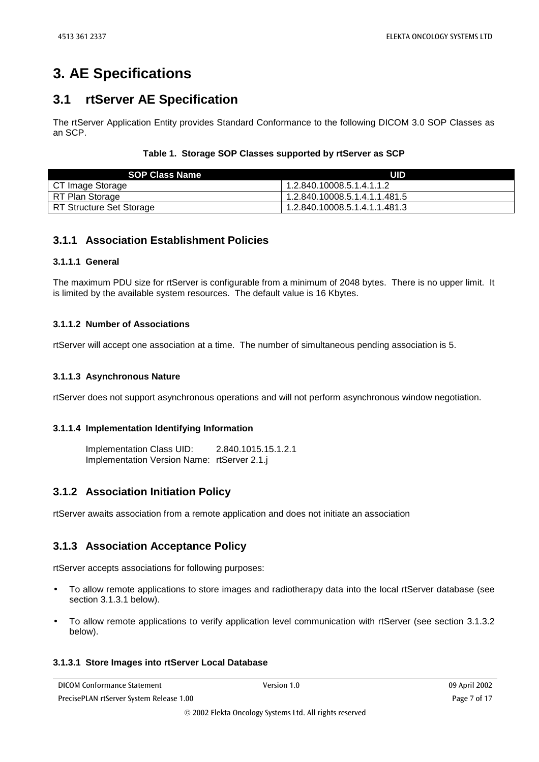# <span id="page-6-0"></span>**3. AE Specifications**

## **3.1 rtServer AE Specification**

The rtServer Application Entity provides Standard Conformance to the following DICOM 3.0 SOP Classes as an SCP.

### **Table 1. Storage SOP Classes supported by rtServer as SCP**

| <b>SOP Class Name</b>    | UID                           |
|--------------------------|-------------------------------|
| CT Image Storage         | 1.2.840.10008.5.1.4.1.1.2     |
| RT Plan Storage          | 1.2.840.10008.5.1.4.1.1.481.5 |
| RT Structure Set Storage | 1.2.840.10008.5.1.4.1.1.481.3 |

### **3.1.1 Association Establishment Policies**

### **3.1.1.1 General**

The maximum PDU size for rtServer is configurable from a minimum of 2048 bytes. There is no upper limit. It is limited by the available system resources. The default value is 16 Kbytes.

### **3.1.1.2 Number of Associations**

rtServer will accept one association at a time. The number of simultaneous pending association is 5.

### **3.1.1.3 Asynchronous Nature**

rtServer does not support asynchronous operations and will not perform asynchronous window negotiation.

### **3.1.1.4 Implementation Identifying Information**

Implementation Class UID: 2.840.1015.15.1.2.1 Implementation Version Name: rtServer 2.1.j

### **3.1.2 Association Initiation Policy**

rtServer awaits association from a remote application and does not initiate an association

### **3.1.3 Association Acceptance Policy**

rtServer accepts associations for following purposes:

- To allow remote applications to store images and radiotherapy data into the local rtServer database (see section 3.1.3.1 below).
- To allow remote applications to verify application level communication with rtServer (see section 3.1.3.2) below).

### **3.1.3.1 Store Images into rtServer Local Database**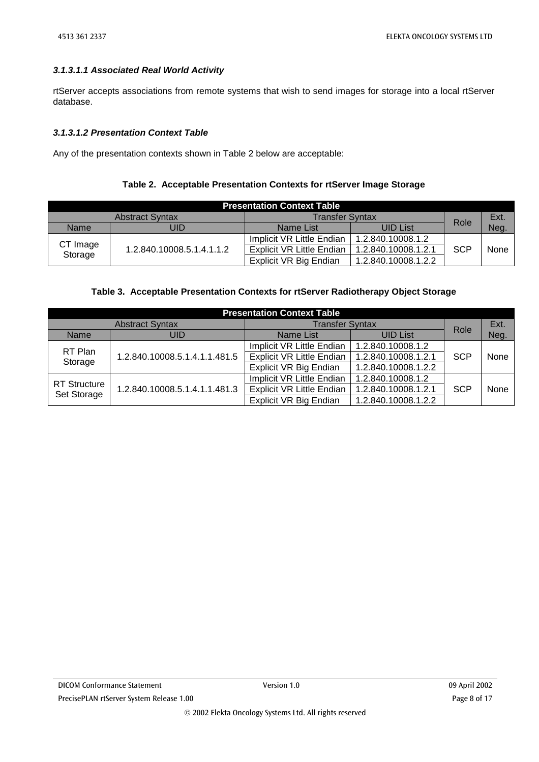### **3.1.3.1.1 Associated Real World Activity**

rtServer accepts associations from remote systems that wish to send images for storage into a local rtServer database.

#### **3.1.3.1.2 Presentation Context Table**

Any of the presentation contexts shown in Table 2 below are acceptable:

#### **Table 2. Acceptable Presentation Contexts for rtServer Image Storage**

|                                                  | <b>Presentation Context Table</b> |                           |                     |            |      |  |
|--------------------------------------------------|-----------------------------------|---------------------------|---------------------|------------|------|--|
| <b>Transfer Syntax</b><br><b>Abstract Syntax</b> |                                   | Role                      | Ext.                |            |      |  |
| <b>Name</b>                                      | UID                               | Name List                 | <b>UID List</b>     |            | Neg. |  |
|                                                  |                                   | Implicit VR Little Endian | 1.2.840.10008.1.2   |            |      |  |
| CT Image<br>Storage                              | 1.2.840.10008.5.1.4.1.1.2         | Explicit VR Little Endian | 1.2.840.10008.1.2.1 | <b>SCP</b> | None |  |
|                                                  |                                   | Explicit VR Big Endian    | 1.2.840.10008.1.2.2 |            |      |  |

### **Table 3. Acceptable Presentation Contexts for rtServer Radiotherapy Object Storage**

| <b>Presentation Context Table</b>                   |                               |                                  |                     |            |      |
|-----------------------------------------------------|-------------------------------|----------------------------------|---------------------|------------|------|
|                                                     | <b>Abstract Syntax</b>        | <b>Transfer Syntax</b>           |                     | Role       | Ext. |
| Name                                                | UID                           | Name List                        | <b>UID List</b>     |            | Neg. |
| RT Plan<br>1.2.840.10008.5.1.4.1.1.481.5<br>Storage | Implicit VR Little Endian     | 1.2.840.10008.1.2                |                     |            |      |
|                                                     |                               | <b>Explicit VR Little Endian</b> | 1.2.840.10008.1.2.1 | <b>SCP</b> | None |
|                                                     | Explicit VR Big Endian        | 1.2.840.10008.1.2.2              |                     |            |      |
|                                                     |                               | Implicit VR Little Endian        | 1.2.840.10008.1.2   |            |      |
| <b>RT Structure</b><br>Set Storage                  | 1.2.840.10008.5.1.4.1.1.481.3 | <b>Explicit VR Little Endian</b> | 1.2.840.10008.1.2.1 | <b>SCP</b> | None |
|                                                     |                               | Explicit VR Big Endian           | 1.2.840.10008.1.2.2 |            |      |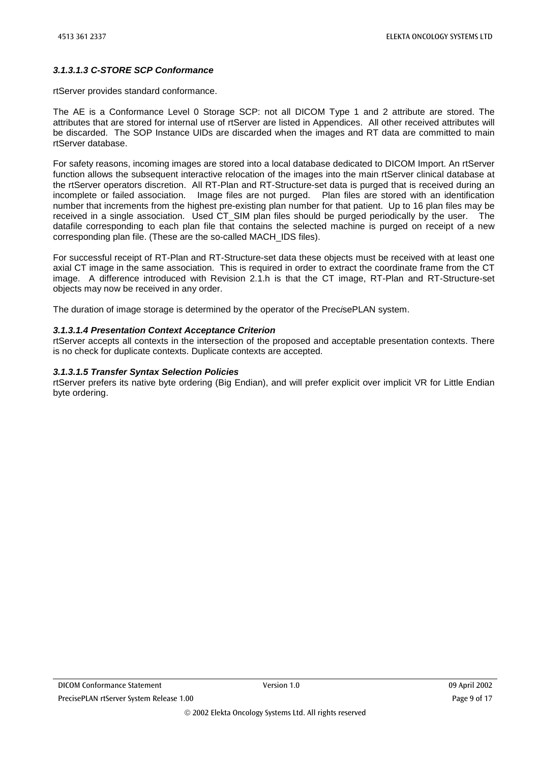#### **3.1.3.1.3 C-STORE SCP Conformance**

rtServer provides standard conformance.

The AE is a Conformance Level 0 Storage SCP: not all DICOM Type 1 and 2 attribute are stored. The attributes that are stored for internal use of rtServer are listed in Appendices. All other received attributes will be discarded. The SOP Instance UIDs are discarded when the images and RT data are committed to main rtServer database.

For safety reasons, incoming images are stored into a local database dedicated to DICOM Import. An rtServer function allows the subsequent interactive relocation of the images into the main rtServer clinical database at the rtServer operators discretion. All RT-Plan and RT-Structure-set data is purged that is received during an incomplete or failed association. Image files are not purged. Plan files are stored with an identification number that increments from the highest pre-existing plan number for that patient. Up to 16 plan files may be received in a single association. Used CT\_SIM plan files should be purged periodically by the user. The datafile corresponding to each plan file that contains the selected machine is purged on receipt of a new corresponding plan file. (These are the so-called MACH\_IDS files).

For successful receipt of RT-Plan and RT-Structure-set data these objects must be received with at least one axial CT image in the same association. This is required in order to extract the coordinate frame from the CT image. A difference introduced with Revision 2.1.h is that the CT image, RT-Plan and RT-Structure-set objects may now be received in any order.

The duration of image storage is determined by the operator of the PrecisePLAN system.

#### **3.1.3.1.4 Presentation Context Acceptance Criterion**

rtServer accepts all contexts in the intersection of the proposed and acceptable presentation contexts. There is no check for duplicate contexts. Duplicate contexts are accepted.

#### **3.1.3.1.5 Transfer Syntax Selection Policies**

rtServer prefers its native byte ordering (Big Endian), and will prefer explicit over implicit VR for Little Endian byte ordering.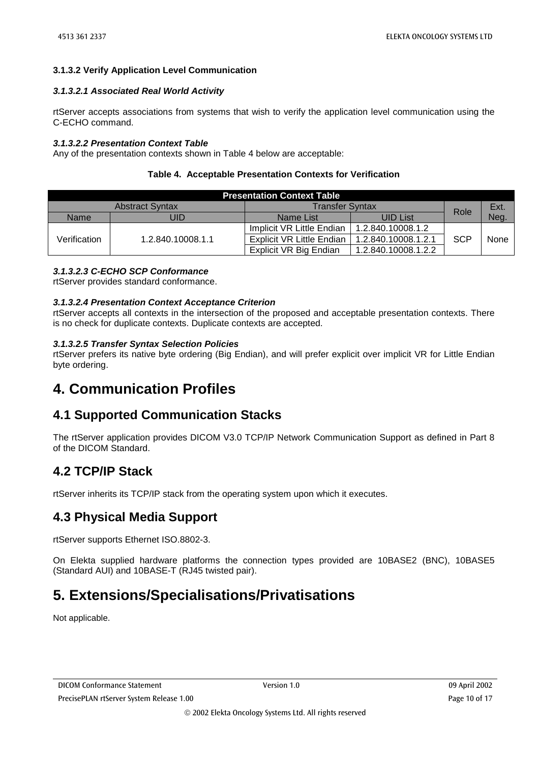### <span id="page-9-0"></span>**3.1.3.2 Verify Application Level Communication**

### **3.1.3.2.1 Associated Real World Activity**

rtServer accepts associations from systems that wish to verify the application level communication using the C-ECHO command.

### **3.1.3.2.2 Presentation Context Table**

Any of the presentation contexts shown in Table 4 below are acceptable:

### **Table 4. Acceptable Presentation Contexts for Verification**

| <b>Presentation Context Table</b>                |                           |                           |                     |      |      |
|--------------------------------------------------|---------------------------|---------------------------|---------------------|------|------|
| <b>Abstract Syntax</b><br><b>Transfer Syntax</b> |                           | Role                      | Ext.                |      |      |
| Name                                             | JID                       | Name List                 | <b>UID List</b>     |      | Neg. |
|                                                  |                           | Implicit VR Little Endian | 1.2.840.10008.1.2   |      |      |
| 1.2.840.10008.1.1<br>Verification                | Explicit VR Little Endian | 1.2.840.10008.1.2.1       | <b>SCP</b>          | None |      |
|                                                  |                           | Explicit VR Big Endian    | 1.2.840.10008.1.2.2 |      |      |

### **3.1.3.2.3 C-ECHO SCP Conformance**

rtServer provides standard conformance.

### **3.1.3.2.4 Presentation Context Acceptance Criterion**

rtServer accepts all contexts in the intersection of the proposed and acceptable presentation contexts. There is no check for duplicate contexts. Duplicate contexts are accepted.

### **3.1.3.2.5 Transfer Syntax Selection Policies**

rtServer prefers its native byte ordering (Big Endian), and will prefer explicit over implicit VR for Little Endian byte ordering.

# **4. Communication Profiles**

## **4.1 Supported Communication Stacks**

The rtServer application provides DICOM V3.0 TCP/IP Network Communication Support as defined in Part 8 of the DICOM Standard.

## **4.2 TCP/IP Stack**

rtServer inherits its TCP/IP stack from the operating system upon which it executes.

## **4.3 Physical Media Support**

rtServer supports Ethernet ISO.8802-3.

On Elekta supplied hardware platforms the connection types provided are 10BASE2 (BNC), 10BASE5 (Standard AUI) and 10BASE-T (RJ45 twisted pair).

# **5. Extensions/Specialisations/Privatisations**

Not applicable.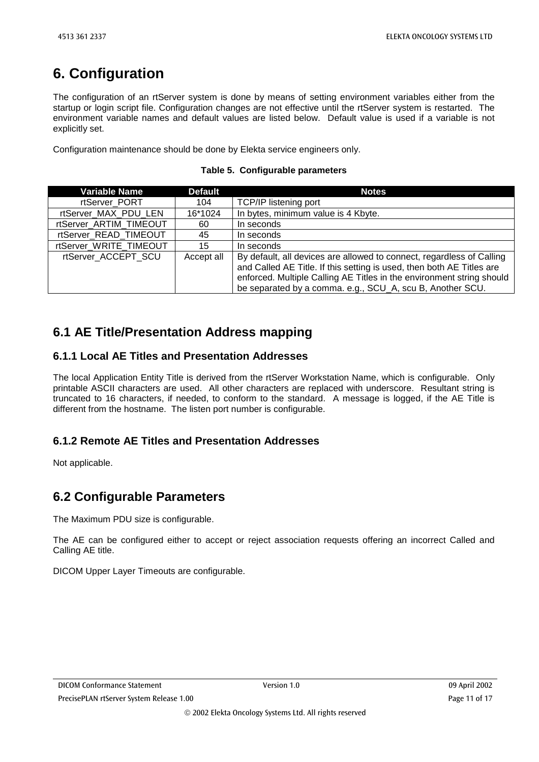# <span id="page-10-0"></span>**6. Configuration**

The configuration of an rtServer system is done by means of setting environment variables either from the startup or login script file. Configuration changes are not effective until the rtServer system is restarted. The environment variable names and default values are listed below. Default value is used if a variable is not explicitly set.

Configuration maintenance should be done by Elekta service engineers only.

|  | Table 5. Configurable parameters |  |
|--|----------------------------------|--|
|--|----------------------------------|--|

| <b>Variable Name</b>   | <b>Default</b> | <b>Notes</b>                                                                                                                                                                                                                                                                         |
|------------------------|----------------|--------------------------------------------------------------------------------------------------------------------------------------------------------------------------------------------------------------------------------------------------------------------------------------|
| rtServer PORT          | 104            | TCP/IP listening port                                                                                                                                                                                                                                                                |
| rtServer MAX PDU LEN   | 16*1024        | In bytes, minimum value is 4 Kbyte.                                                                                                                                                                                                                                                  |
| rtServer ARTIM TIMEOUT | -60            | In seconds                                                                                                                                                                                                                                                                           |
| rtServer READ TIMEOUT  | 45             | In seconds                                                                                                                                                                                                                                                                           |
| rtServer WRITE TIMEOUT | 15             | In seconds                                                                                                                                                                                                                                                                           |
| rtServer ACCEPT SCU    | Accept all     | By default, all devices are allowed to connect, regardless of Calling<br>and Called AE Title. If this setting is used, then both AE Titles are<br>enforced. Multiple Calling AE Titles in the environment string should<br>be separated by a comma. e.g., SCU_A, scu B, Another SCU. |

### **6.1 AE Title/Presentation Address mapping**

### **6.1.1 Local AE Titles and Presentation Addresses**

The local Application Entity Title is derived from the rtServer Workstation Name, which is configurable. Only printable ASCII characters are used. All other characters are replaced with underscore. Resultant string is truncated to 16 characters, if needed, to conform to the standard. A message is logged, if the AE Title is different from the hostname. The listen port number is configurable.

### **6.1.2 Remote AE Titles and Presentation Addresses**

Not applicable.

## **6.2 Configurable Parameters**

The Maximum PDU size is configurable.

The AE can be configured either to accept or reject association requests offering an incorrect Called and Calling AE title.

DICOM Upper Layer Timeouts are configurable.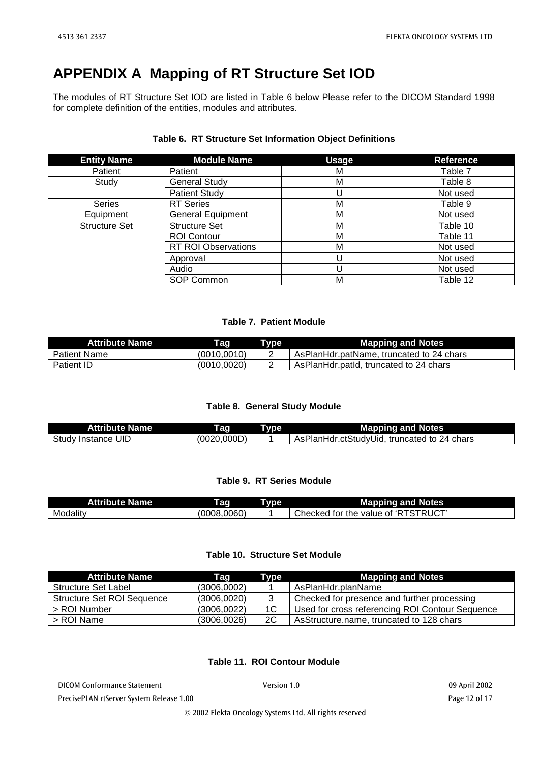# <span id="page-11-0"></span>**APPENDIX A Mapping of RT Structure Set IOD**

The modules of RT Structure Set IOD are listed in Table 6 below Please refer to the DICOM Standard 1998 for complete definition of the entities, modules and attributes.

| <b>Entity Name</b>   | <b>Module Name</b>         | <b>Usage</b> | <b>Reference</b> |
|----------------------|----------------------------|--------------|------------------|
| Patient              | Patient                    | M            | Table 7          |
| Study                | <b>General Study</b>       | M            | Table 8          |
|                      | <b>Patient Study</b>       |              | Not used         |
| <b>Series</b>        | <b>RT</b> Series           | М            | Table 9          |
| Equipment            | <b>General Equipment</b>   | M            | Not used         |
| <b>Structure Set</b> | <b>Structure Set</b>       | M            | Table 10         |
|                      | <b>ROI Contour</b>         | М            | Table 11         |
|                      | <b>RT ROI Observations</b> | М            | Not used         |
|                      | Approval                   |              | Not used         |
|                      | Audio                      |              | Not used         |
|                      | SOP Common                 | M            | Table 12         |

### **Table 6. RT Structure Set Information Object Definitions**

### **Table 7. Patient Module**

| <b>Attribute Name</b> | Taq          | Type | <b>Mapping and Notes</b>                 |
|-----------------------|--------------|------|------------------------------------------|
| <b>Patient Name</b>   | (0010.0010)  |      | AsPlanHdr.patName, truncated to 24 chars |
| <b>Patient ID</b>     | (0010, 0020) |      | AsPlanHdr.patId, truncated to 24 chars   |

### **Table 8. General Study Module**

| <b>Attribute Name</b> | <b>Taq</b>   | <b>Tvpe</b> | <b>Mapping and Notes</b>                        |
|-----------------------|--------------|-------------|-------------------------------------------------|
| Study Instance UID    | (0020, 000D) |             | AsPlanHdr.ctStudyUid,<br>truncated to 24 chars. |

### **Table 9. RT Series Module**

| <b>Attribute N</b><br>Name | lag           | <b>VDC</b> | pping and Notes<br>мар                                           |
|----------------------------|---------------|------------|------------------------------------------------------------------|
| Modality                   | 0060<br>0008. |            | <b>JUCT</b><br>Checked<br>้⊦<br>. .<br>the<br>value<br>tor<br>0t |

#### **Table 10. Structure Set Module**

| <b>Attribute Name</b>      | Taq          | Type | <b>Mapping and Notes</b>                        |
|----------------------------|--------------|------|-------------------------------------------------|
| Structure Set Label        | (3006,0002)  |      | AsPlanHdr.planName                              |
| Structure Set ROI Sequence | (3006, 0020) |      | Checked for presence and further processing     |
| > ROI Number               | (3006, 0022) | 1C   | Used for cross referencing ROI Contour Sequence |
| > ROI Name                 | (3006, 0026) | 2C   | AsStructure.name, truncated to 128 chars        |

### **Table 11. ROI Contour Module**

DICOM Conformance Statement Version 1.0 09 April 2002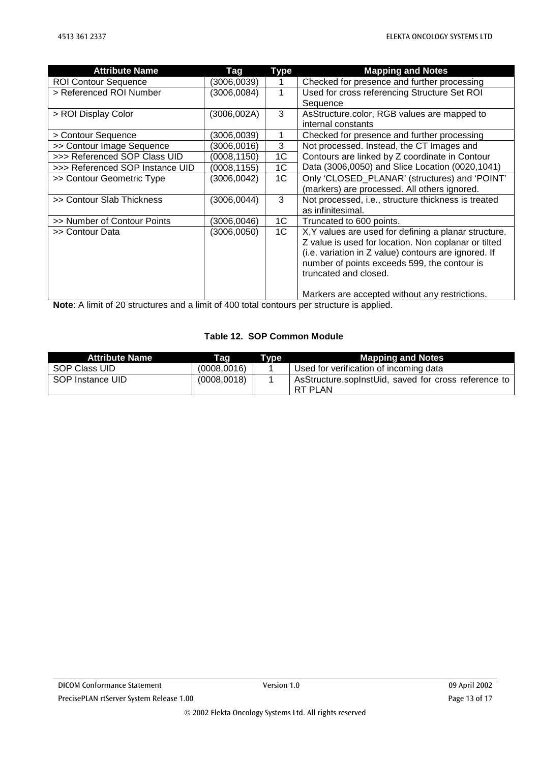| 3006,0039)<br>(3006,0084) |    | Checked for presence and further processing                          |
|---------------------------|----|----------------------------------------------------------------------|
|                           |    |                                                                      |
|                           |    | Used for cross referencing Structure Set ROI                         |
|                           |    | Sequence                                                             |
| (3006,002A)               | 3  | AsStructure.color, RGB values are mapped to                          |
|                           |    | internal constants                                                   |
| 3006,0039)                | 1  | Checked for presence and further processing                          |
| (3006, 0016)              | 3  | Not processed. Instead, the CT Images and                            |
| (0008, 1150)              | 1C | Contours are linked by Z coordinate in Contour                       |
| (0008, 1155)              | 1C | Data (3006,0050) and Slice Location (0020,1041)                      |
| (3006, 0042)              | 1C | Only 'CLOSED PLANAR' (structures) and 'POINT'                        |
|                           |    | (markers) are processed. All others ignored.                         |
| (3006,0044)               | 3  | Not processed, i.e., structure thickness is treated                  |
|                           |    | as infinitesimal.                                                    |
| (3006, 0046)              | 1C | Truncated to 600 points.                                             |
| (3006, 0050)              | 1C | X, Y values are used for defining a planar structure.                |
|                           |    | Z value is used for location. Non coplanar or tilted                 |
|                           |    | (i.e. variation in Z value) contours are ignored. If                 |
|                           |    | number of points exceeds 599, the contour is                         |
|                           |    | truncated and closed.                                                |
|                           |    |                                                                      |
|                           |    | Markers are accepted without any restrictions.                       |
|                           |    | $M = 1$ and $M = 100$ atmosfessors and a limit of $100$ total and to |

**Note**: A limit of 20 structures and a limit of 400 total contours per structure is applied.

### **Table 12. SOP Common Module**

| <b>Attribute Name</b> | Taq          | Type | <b>Mapping and Notes</b>                                        |
|-----------------------|--------------|------|-----------------------------------------------------------------|
| SOP Class UID         | (0008.0016)  |      | Used for verification of incoming data                          |
| SOP Instance UID      | (0008, 0018) |      | AsStructure.sopInstUid, saved for cross reference to<br>RT PLAN |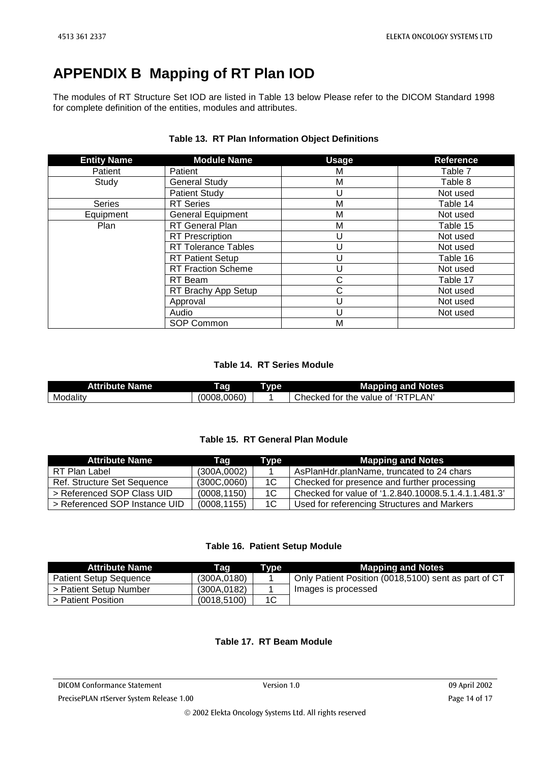# <span id="page-13-0"></span>**APPENDIX B Mapping of RT Plan IOD**

The modules of RT Structure Set IOD are listed in Table 13 below Please refer to the DICOM Standard 1998 for complete definition of the entities, modules and attributes.

| <b>Entity Name</b> | <b>Module Name</b>         | <b>Usage</b> | <b>Reference</b> |
|--------------------|----------------------------|--------------|------------------|
| Patient            | Patient                    | M            | Table 7          |
| Study              | <b>General Study</b>       | M            | Table 8          |
|                    | <b>Patient Study</b>       | U            | Not used         |
| <b>Series</b>      | <b>RT</b> Series           | M            | Table 14         |
| Equipment          | <b>General Equipment</b>   | M            | Not used         |
| Plan               | <b>RT</b> General Plan     | M            | Table 15         |
|                    | <b>RT</b> Prescription     | U            | Not used         |
|                    | <b>RT Tolerance Tables</b> | U            | Not used         |
|                    | <b>RT Patient Setup</b>    |              | Table 16         |
|                    | <b>RT Fraction Scheme</b>  | U            | Not used         |
|                    | RT Beam                    | C            | Table 17         |
|                    | RT Brachy App Setup        | С            | Not used         |
|                    | Approval                   | U            | Not used         |
|                    | Audio                      | U            | Not used         |
|                    | <b>SOP Common</b>          | M            |                  |

### **Table 13. RT Plan Information Object Definitions**

### **Table 14. RT Series Module**

| <b>Attribute Name</b> | Гag         | Lype <b>T</b> | <b>Mapping and Notes</b>                                       |
|-----------------------|-------------|---------------|----------------------------------------------------------------|
| Modalitv              | (0000,8000, |               | _AN'<br>TDI<br>. R L<br>. for<br>οt<br>the<br>Checked<br>value |

### **Table 15. RT General Plan Module**

| <b>Attribute Name</b>         | Taq          | Type | <b>Mapping and Notes</b>                             |
|-------------------------------|--------------|------|------------------------------------------------------|
| RT Plan Label                 | (300A,0002)  |      | AsPlanHdr.planName, truncated to 24 chars            |
| Ref. Structure Set Sequence   | (300C,0060)  | 1C   | Checked for presence and further processing          |
| > Referenced SOP Class UID    | (0008, 1150) | 1C   | Checked for value of '1.2.840.10008.5.1.4.1.1.481.3' |
| > Referenced SOP Instance UID | (0008, 1155) | 1C   | Used for referencing Structures and Markers          |

### **Table 16. Patient Setup Module**

| <b>Attribute Name</b>         | Taq          | Type | <b>Mapping and Notes</b>                             |
|-------------------------------|--------------|------|------------------------------------------------------|
| <b>Patient Setup Sequence</b> | (300A.0180)  |      | Only Patient Position (0018,5100) sent as part of CT |
| > Patient Setup Number        | (300A.0182)  |      | Images is processed                                  |
| > Patient Position            | (0018, 5100) | 1C   |                                                      |

### **Table 17. RT Beam Module**

DICOM Conformance Statement Version 1.0 09 April 2002

PrecisePLAN rtServer System Release 1.00 **Page 14 of 17** Page 14 of 17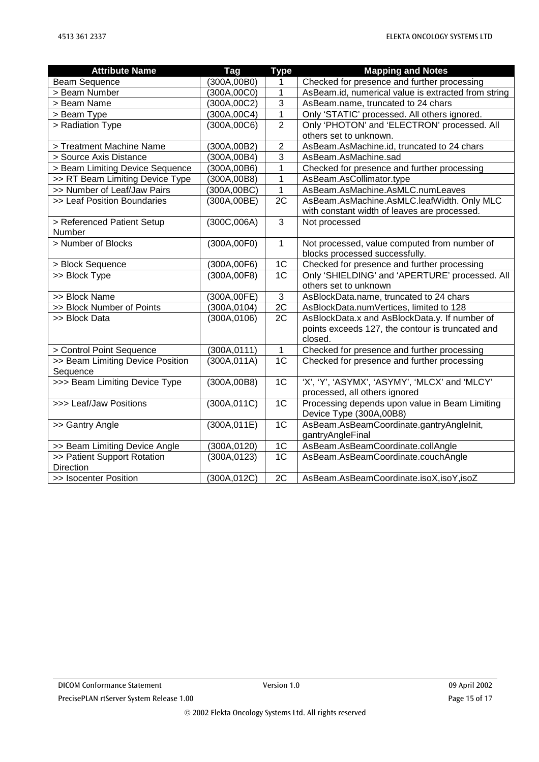| <b>Attribute Name</b>            | Tag          | <b>Type</b>     | <b>Mapping and Notes</b>                            |
|----------------------------------|--------------|-----------------|-----------------------------------------------------|
| <b>Beam Sequence</b>             | (300A,00B0)  | 1               | Checked for presence and further processing         |
| > Beam Number                    | (300A,00C0)  | $\mathbf{1}$    | AsBeam.id, numerical value is extracted from string |
| > Beam Name                      | (300A, 00C2) | $\overline{3}$  | AsBeam.name, truncated to 24 chars                  |
| > Beam Type                      | (300A, 00C4) | $\overline{1}$  | Only 'STATIC' processed. All others ignored.        |
| > Radiation Type                 | (300A, 00C6) | $\overline{2}$  | Only 'PHOTON' and 'ELECTRON' processed. All         |
|                                  |              |                 | others set to unknown.                              |
| > Treatment Machine Name         | (300A,00B2)  | $\overline{2}$  | AsBeam.AsMachine.id, truncated to 24 chars          |
| > Source Axis Distance           | (300A,00B4)  | $\overline{3}$  | AsBeam.AsMachine.sad                                |
| > Beam Limiting Device Sequence  | (300A,00B6)  | $\mathbf{1}$    | Checked for presence and further processing         |
| >> RT Beam Limiting Device Type  | (300A,00B8)  | $\mathbf{1}$    | AsBeam.AsCollimator.type                            |
| >> Number of Leaf/Jaw Pairs      | (300A,00BC)  | $\mathbf{1}$    | AsBeam.AsMachine.AsMLC.numLeaves                    |
| >> Leaf Position Boundaries      | (300A,00BE)  | 2C              | AsBeam.AsMachine.AsMLC.leafWidth. Only MLC          |
|                                  |              |                 | with constant width of leaves are processed.        |
| > Referenced Patient Setup       | (300C, 006A) | 3               | Not processed                                       |
| Number                           |              |                 |                                                     |
| > Number of Blocks               | (300A,00F0)  | $\mathbf{1}$    | Not processed, value computed from number of        |
|                                  |              |                 | blocks processed successfully.                      |
| > Block Sequence                 | (300A,00F6)  | 1 <sup>C</sup>  | Checked for presence and further processing         |
| >> Block Type                    | (300A,00F8)  | $\overline{1C}$ | Only 'SHIELDING' and 'APERTURE' processed. All      |
|                                  |              |                 | others set to unknown                               |
| >> Block Name                    | (300A,00FE)  | 3               | AsBlockData.name, truncated to 24 chars             |
| >> Block Number of Points        | (300A, 0104) | 2C              | AsBlockData.numVertices, limited to 128             |
| >> Block Data                    | (300A, 0106) | 2C              | AsBlockData.x and AsBlockData.y. If number of       |
|                                  |              |                 | points exceeds 127, the contour is truncated and    |
|                                  |              |                 | closed.                                             |
| > Control Point Sequence         | (300A, 0111) | $\mathbf{1}$    | Checked for presence and further processing         |
| >> Beam Limiting Device Position | (300A, 011A) | 1 <sup>C</sup>  | Checked for presence and further processing         |
| Sequence                         |              |                 |                                                     |
| >>> Beam Limiting Device Type    | (300A,00B8)  | 1 <sup>C</sup>  | 'X', 'Y', 'ASYMX', 'ASYMY', 'MLCX' and 'MLCY'       |
|                                  |              |                 | processed, all others ignored                       |
| >>> Leaf/Jaw Positions           | (300A, 011C) | 1C              | Processing depends upon value in Beam Limiting      |
|                                  |              |                 | Device Type (300A,00B8)                             |
| >> Gantry Angle                  | (300A, 011E) | 1 <sup>C</sup>  | AsBeam.AsBeamCoordinate.gantryAngleInit,            |
|                                  |              |                 | gantryAngleFinal                                    |
| >> Beam Limiting Device Angle    | (300A, 0120) | 1 <sup>C</sup>  | AsBeam.AsBeamCoordinate.collAngle                   |
| >> Patient Support Rotation      | (300A, 0123) | 1 <sup>C</sup>  | AsBeam.AsBeamCoordinate.couchAngle                  |
| Direction                        |              |                 |                                                     |
| >> Isocenter Position            | (300A, 012C) | 2C              | AsBeam.AsBeamCoordinate.isoX.isoY.isoZ              |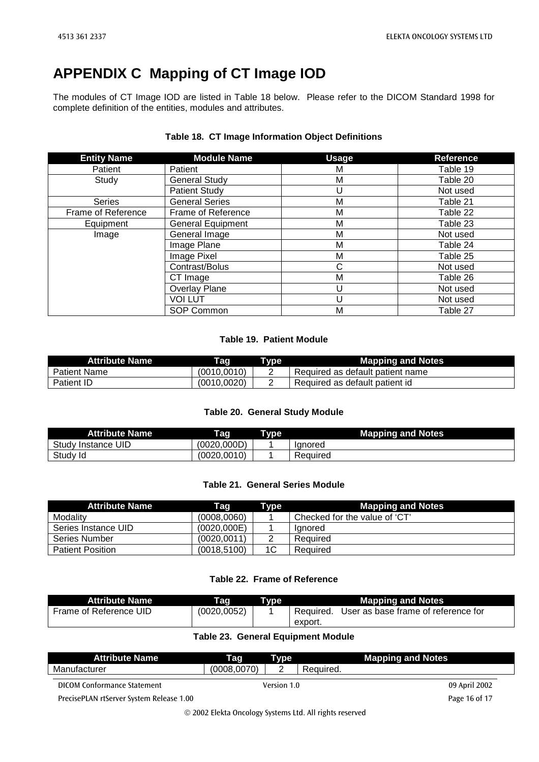# <span id="page-15-0"></span>**APPENDIX C Mapping of CT Image IOD**

The modules of CT Image IOD are listed in Table 18 below. Please refer to the DICOM Standard 1998 for complete definition of the entities, modules and attributes.

| <b>Entity Name</b> | <b>Module Name</b>        | <b>Usage</b> | <b>Reference</b> |
|--------------------|---------------------------|--------------|------------------|
| Patient            | Patient                   | М            | Table 19         |
| Study              | <b>General Study</b>      | M            | Table 20         |
|                    | <b>Patient Study</b>      | U            | Not used         |
| <b>Series</b>      | <b>General Series</b>     | M            | Table 21         |
| Frame of Reference | <b>Frame of Reference</b> | M            | Table 22         |
| Equipment          | <b>General Equipment</b>  | M            | Table 23         |
| Image              | General Image             | M            | Not used         |
|                    | Image Plane               | M            | Table 24         |
|                    | Image Pixel               | M            | Table 25         |
|                    | Contrast/Bolus            | С            | Not used         |
|                    | CT Image                  | М            | Table 26         |
|                    | Overlay Plane             | U            | Not used         |
|                    | <b>VOI LUT</b>            | U            | Not used         |
|                    | <b>SOP Common</b>         | M            | Table 27         |

### **Table 18. CT Image Information Object Definitions**

#### **Table 19. Patient Module**

| <b>Attribute Name</b> | Tag         | Tvpe | <b>Mapping and Notes</b>         |
|-----------------------|-------------|------|----------------------------------|
| <b>Patient Name</b>   | (0010.0010) |      | Required as default patient name |
| <b>Patient ID</b>     | (0010.0020) |      | Required as default patient id   |

### **Table 20. General Study Module**

| <b>Attribute Name</b> | Tag         | <b>Tvpe</b> | <b>Mapping and Notes</b> |
|-----------------------|-------------|-------------|--------------------------|
| Study Instance UID    | (0020.000D) |             | lanored                  |
| Study Id              | (0020.0010) |             | Required                 |

### **Table 21. General Series Module**

| <b>Attribute Name</b>   | Tag          | Tvpe | <b>Mapping and Notes</b>      |
|-------------------------|--------------|------|-------------------------------|
| Modality                | (0008,0060)  |      | Checked for the value of 'CT' |
| Series Instance UID     | (0020,000E)  |      | lanored                       |
| Series Number           | (0020.0011)  |      | Required                      |
| <b>Patient Position</b> | (0018, 5100) | 1C   | Required                      |

### **Table 22. Frame of Reference**

| <b>Attribute Name</b>  | Tag          | Tvpe | <b>Mapping and Notes</b>                                    |
|------------------------|--------------|------|-------------------------------------------------------------|
| Frame of Reference UID | (0020, 0052) |      | User as base frame of reference for<br>Required.<br>export. |

### **Table 23. General Equipment Module**

| <b>Attribute Name</b>                    | Tag          | Tvpe |           | <b>Mapping and Notes</b> |
|------------------------------------------|--------------|------|-----------|--------------------------|
| Manufacturer                             | (0008, 0070) | ⌒    | Required. |                          |
| <b>DICOM Conformance Statement</b>       | Version 1.0  |      |           | 09 April 2002            |
| PrecisePLAN rtServer System Release 1.00 |              |      |           | Page 16 of 17            |

2002 Elekta Oncology Systems Ltd. All rights reserved